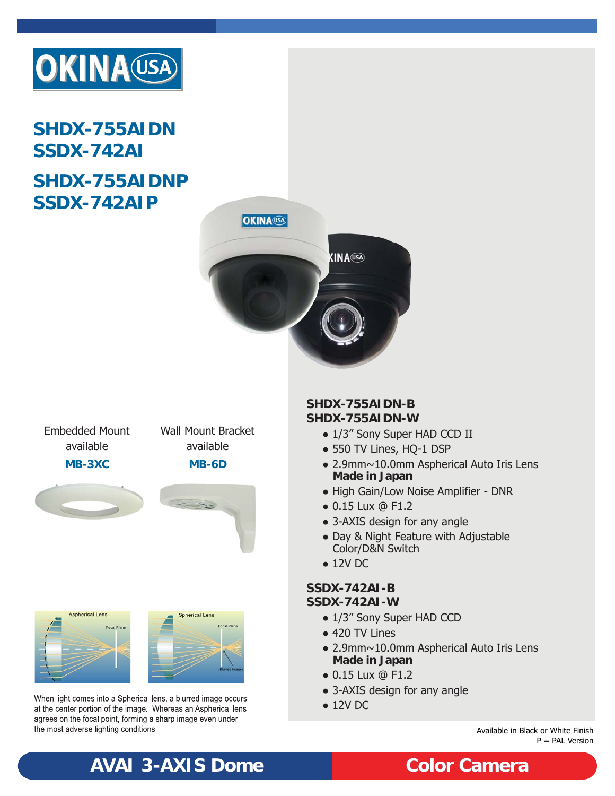

# **SHDX-755AIDN SSDX-742AI SHDX-755AIDNP SSDX-742AIP**



Embedded Mount available

Wall Mount Bracket available

**MB-3XC MB-6D**









When light comes into a Spherical lens, a blurred image occurs at the center portion of the image. Whereas an Aspherical lens agrees on the focal point, forming a sharp image even under the most adverse lighting conditions.

### **SHDX-755AIDN-B SHDX-755AIDN-W**

- 1/3" Sony Super HAD CCD II
- 550 TV Lines, HQ-1 DSP
- 2.9mm~10.0mm Aspherical Auto Iris Lens **Made in Japan**
- High Gain/Low Noise Amplifier DNR
- 0.15 Lux @ F1.2
- 3-AXIS design for any angle
- Day & Night Feature with Adjustable Color/D&N Switch
- 12V DC

### **SSDX-742AI-B SSDX-742AI-W**

- 1/3" Sony Super HAD CCD
- 420 TV Lines
- 2.9mm~10.0mm Aspherical Auto Iris Lens **Made in Japan**
- 0.15 Lux @ F1.2
- 3-AXIS design for any angle
- 12V DC

Available in Black or White Finish P = PAL Version

# **AVAI 3-AXIS Dome Color Camera**